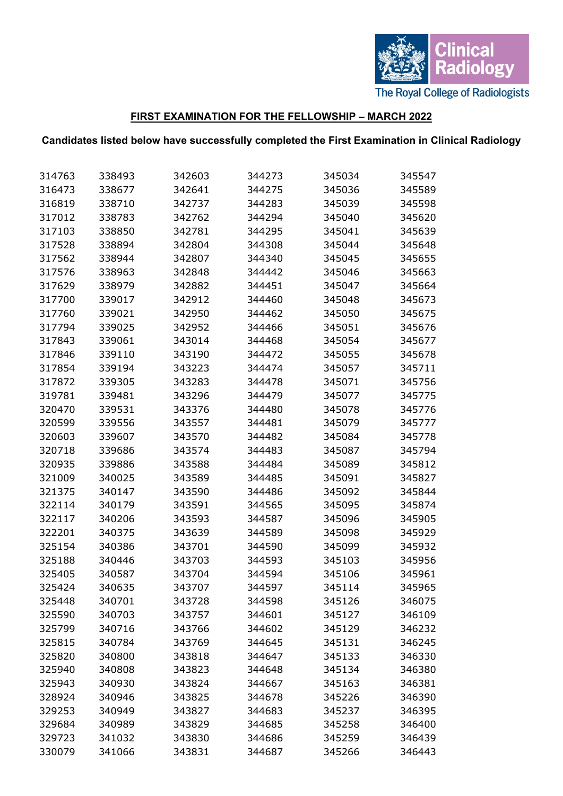

## **FIRST EXAMINATION FOR THE FELLOWSHIP – MARCH 2022**

## **Candidates listed below have successfully completed the First Examination in Clinical Radiology**

| 314763 | 338493 | 342603 | 344273 | 345034 | 345547 |
|--------|--------|--------|--------|--------|--------|
| 316473 | 338677 | 342641 | 344275 | 345036 | 345589 |
| 316819 | 338710 | 342737 | 344283 | 345039 | 345598 |
| 317012 | 338783 | 342762 | 344294 | 345040 | 345620 |
| 317103 | 338850 | 342781 | 344295 | 345041 | 345639 |
| 317528 | 338894 | 342804 | 344308 | 345044 | 345648 |
| 317562 | 338944 | 342807 | 344340 | 345045 | 345655 |
| 317576 | 338963 | 342848 | 344442 | 345046 | 345663 |
| 317629 | 338979 | 342882 | 344451 | 345047 | 345664 |
| 317700 | 339017 | 342912 | 344460 | 345048 | 345673 |
| 317760 | 339021 | 342950 | 344462 | 345050 | 345675 |
| 317794 | 339025 | 342952 | 344466 | 345051 | 345676 |
| 317843 | 339061 | 343014 | 344468 | 345054 | 345677 |
| 317846 | 339110 | 343190 | 344472 | 345055 | 345678 |
| 317854 | 339194 | 343223 | 344474 | 345057 | 345711 |
| 317872 | 339305 | 343283 | 344478 | 345071 | 345756 |
| 319781 | 339481 | 343296 | 344479 | 345077 | 345775 |
| 320470 | 339531 | 343376 | 344480 | 345078 | 345776 |
| 320599 | 339556 | 343557 | 344481 | 345079 | 345777 |
| 320603 | 339607 | 343570 | 344482 | 345084 | 345778 |
| 320718 | 339686 | 343574 | 344483 | 345087 | 345794 |
| 320935 | 339886 | 343588 | 344484 | 345089 | 345812 |
| 321009 | 340025 | 343589 | 344485 | 345091 | 345827 |
| 321375 | 340147 | 343590 | 344486 | 345092 | 345844 |
| 322114 | 340179 | 343591 | 344565 | 345095 | 345874 |
| 322117 | 340206 | 343593 | 344587 | 345096 | 345905 |
| 322201 | 340375 | 343639 | 344589 | 345098 | 345929 |
| 325154 | 340386 | 343701 | 344590 | 345099 | 345932 |
| 325188 | 340446 | 343703 | 344593 | 345103 | 345956 |
| 325405 | 340587 | 343704 | 344594 | 345106 | 345961 |
| 325424 | 340635 | 343707 | 344597 | 345114 | 345965 |
| 325448 | 340701 | 343728 | 344598 | 345126 | 346075 |
| 325590 | 340703 | 343757 | 344601 | 345127 | 346109 |
| 325799 | 340716 | 343766 | 344602 | 345129 | 346232 |
| 325815 | 340784 | 343769 | 344645 | 345131 | 346245 |
| 325820 | 340800 | 343818 | 344647 | 345133 | 346330 |
| 325940 | 340808 | 343823 | 344648 | 345134 | 346380 |
| 325943 | 340930 | 343824 | 344667 | 345163 | 346381 |
| 328924 | 340946 | 343825 | 344678 | 345226 | 346390 |
| 329253 | 340949 | 343827 | 344683 | 345237 | 346395 |
| 329684 | 340989 | 343829 | 344685 | 345258 | 346400 |
| 329723 | 341032 | 343830 | 344686 | 345259 | 346439 |
| 330079 | 341066 | 343831 | 344687 | 345266 | 346443 |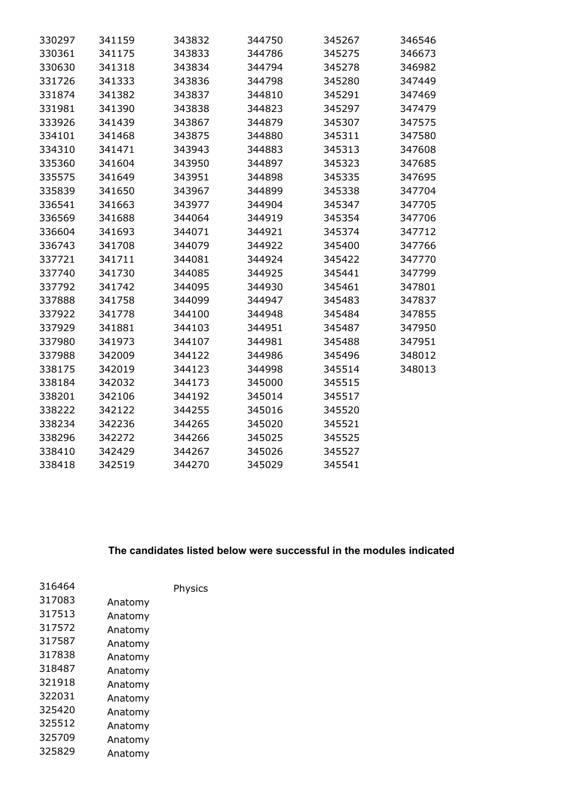| 330297 | 341159 | 343832 | 344750 | 345267 | 346546 |
|--------|--------|--------|--------|--------|--------|
| 330361 | 341175 | 343833 | 344786 | 345275 | 346673 |
| 330630 | 341318 | 343834 | 344794 | 345278 | 346982 |
| 331726 | 341333 | 343836 | 344798 | 345280 | 347449 |
| 331874 | 341382 | 343837 | 344810 | 345291 | 347469 |
| 331981 | 341390 | 343838 | 344823 | 345297 | 347479 |
| 333926 | 341439 | 343867 | 344879 | 345307 | 347575 |
| 334101 | 341468 | 343875 | 344880 | 345311 | 347580 |
| 334310 | 341471 | 343943 | 344883 | 345313 | 347608 |
| 335360 | 341604 | 343950 | 344897 | 345323 | 347685 |
| 335575 | 341649 | 343951 | 344898 | 345335 | 347695 |
| 335839 | 341650 | 343967 | 344899 | 345338 | 347704 |
| 336541 | 341663 | 343977 | 344904 | 345347 | 347705 |
| 336569 | 341688 | 344064 | 344919 | 345354 | 347706 |
| 336604 | 341693 | 344071 | 344921 | 345374 | 347712 |
| 336743 | 341708 | 344079 | 344922 | 345400 | 347766 |
| 337721 | 341711 | 344081 | 344924 | 345422 | 347770 |
| 337740 | 341730 | 344085 | 344925 | 345441 | 347799 |
| 337792 | 341742 | 344095 | 344930 | 345461 | 347801 |
| 337888 | 341758 | 344099 | 344947 | 345483 | 347837 |
| 337922 | 341778 | 344100 | 344948 | 345484 | 347855 |
| 337929 | 341881 | 344103 | 344951 | 345487 | 347950 |
| 337980 | 341973 | 344107 | 344981 | 345488 | 347951 |
| 337988 | 342009 | 344122 | 344986 | 345496 | 348012 |
| 338175 | 342019 | 344123 | 344998 | 345514 | 348013 |
| 338184 | 342032 | 344173 | 345000 | 345515 |        |
| 338201 | 342106 | 344192 | 345014 | 345517 |        |
| 338222 | 342122 | 344255 | 345016 | 345520 |        |
| 338234 | 342236 | 344265 | 345020 | 345521 |        |
| 338296 | 342272 | 344266 | 345025 | 345525 |        |
| 338410 | 342429 | 344267 | 345026 | 345527 |        |
| 338418 | 342519 | 344270 | 345029 | 345541 |        |

## **The candidates listed below were successful in the modules indicated**

|         | Physics |
|---------|---------|
| Anatomy |         |
| Anatomy |         |
| Anatomy |         |
| Anatomy |         |
| Anatomy |         |
| Anatomy |         |
| Anatomy |         |
| Anatomy |         |
| Anatomy |         |
| Anatomy |         |
| Anatomy |         |
| Anatomy |         |
|         |         |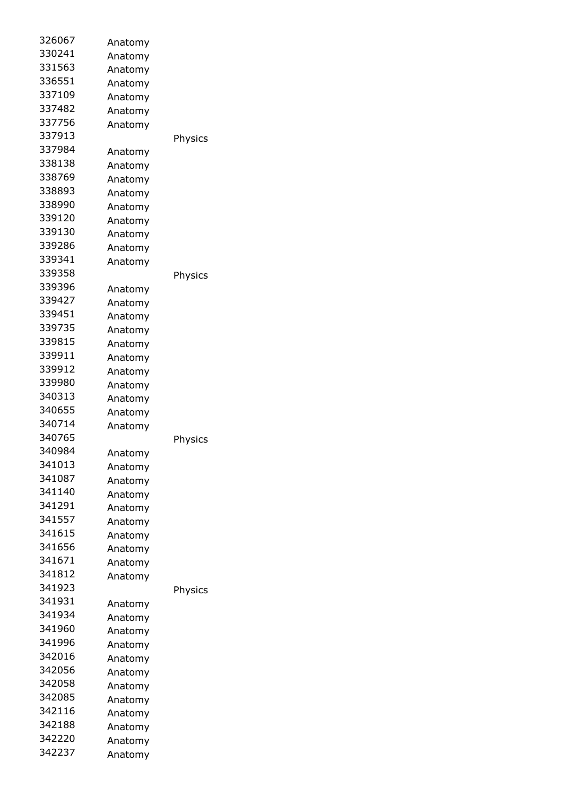| 326067 | Anatomy |         |
|--------|---------|---------|
| 330241 | Anatomy |         |
| 331563 | Anatomy |         |
| 336551 | Anatomy |         |
| 337109 | Anatomy |         |
| 337482 | Anatomy |         |
| 337756 | Anatomy |         |
| 337913 |         | Physics |
| 337984 |         |         |
| 338138 | Anatomy |         |
| 338769 | Anatomy |         |
| 338893 | Anatomy |         |
| 338990 | Anatomy |         |
| 339120 | Anatomy |         |
| 339130 | Anatomy |         |
| 339286 | Anatomy |         |
| 339341 | Anatomy |         |
| 339358 | Anatomy |         |
|        |         | Physics |
| 339396 | Anatomy |         |
| 339427 | Anatomy |         |
| 339451 | Anatomy |         |
| 339735 | Anatomy |         |
| 339815 | Anatomy |         |
| 339911 | Anatomy |         |
| 339912 | Anatomy |         |
| 339980 | Anatomy |         |
| 340313 | Anatomy |         |
| 340655 | Anatomy |         |
| 340714 | Anatomy |         |
| 340765 |         | Physics |
| 340984 | Anatomy |         |
| 341013 | Anatomy |         |
| 341087 | Anatomy |         |
| 341140 | Anatomy |         |
| 341291 | Anatomy |         |
| 341557 | Anatomy |         |
| 341615 | Anatomy |         |
| 341656 | Anatomy |         |
| 341671 | Anatomy |         |
| 341812 | Anatomy |         |
| 341923 |         | Physics |
| 341931 | Anatomy |         |
| 341934 | Anatomy |         |
| 341960 | Anatomy |         |
| 341996 | Anatomy |         |
| 342016 | Anatomy |         |
| 342056 | Anatomy |         |
| 342058 | Anatomy |         |
| 342085 | Anatomy |         |
| 342116 |         |         |
| 342188 | Anatomy |         |
| 342220 | Anatomy |         |
| 342237 | Anatomy |         |
|        | Anatomy |         |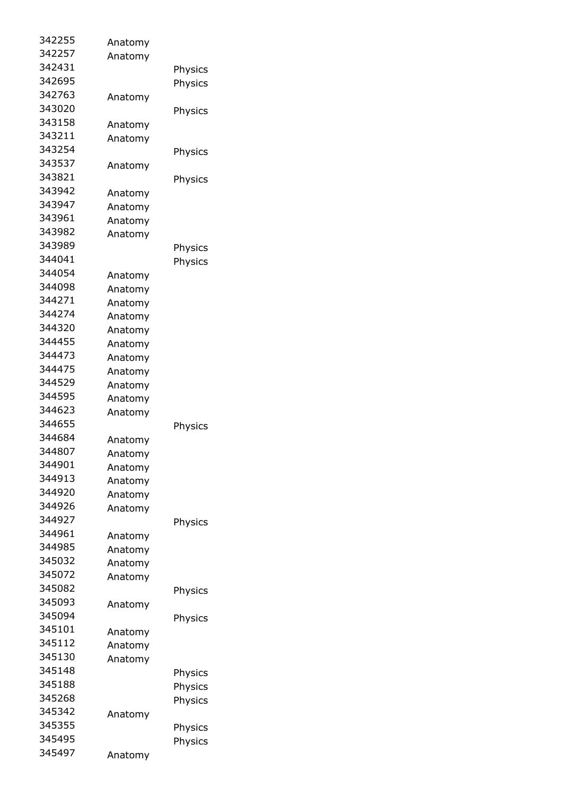| Anatomy |                                                                                                                                                                                                                                                                      |
|---------|----------------------------------------------------------------------------------------------------------------------------------------------------------------------------------------------------------------------------------------------------------------------|
| Anatomy |                                                                                                                                                                                                                                                                      |
|         | Physics                                                                                                                                                                                                                                                              |
|         | Physics                                                                                                                                                                                                                                                              |
|         |                                                                                                                                                                                                                                                                      |
|         | Physics                                                                                                                                                                                                                                                              |
|         |                                                                                                                                                                                                                                                                      |
|         |                                                                                                                                                                                                                                                                      |
|         | Physics                                                                                                                                                                                                                                                              |
|         |                                                                                                                                                                                                                                                                      |
|         | Physics                                                                                                                                                                                                                                                              |
|         |                                                                                                                                                                                                                                                                      |
|         |                                                                                                                                                                                                                                                                      |
|         |                                                                                                                                                                                                                                                                      |
|         |                                                                                                                                                                                                                                                                      |
|         |                                                                                                                                                                                                                                                                      |
|         | Physics                                                                                                                                                                                                                                                              |
|         | Physics                                                                                                                                                                                                                                                              |
|         |                                                                                                                                                                                                                                                                      |
|         |                                                                                                                                                                                                                                                                      |
|         |                                                                                                                                                                                                                                                                      |
| Anatomy |                                                                                                                                                                                                                                                                      |
| Anatomy |                                                                                                                                                                                                                                                                      |
| Anatomy |                                                                                                                                                                                                                                                                      |
| Anatomy |                                                                                                                                                                                                                                                                      |
| Anatomy |                                                                                                                                                                                                                                                                      |
| Anatomy |                                                                                                                                                                                                                                                                      |
|         |                                                                                                                                                                                                                                                                      |
|         |                                                                                                                                                                                                                                                                      |
|         | Physics                                                                                                                                                                                                                                                              |
|         |                                                                                                                                                                                                                                                                      |
|         |                                                                                                                                                                                                                                                                      |
|         |                                                                                                                                                                                                                                                                      |
|         |                                                                                                                                                                                                                                                                      |
|         |                                                                                                                                                                                                                                                                      |
|         |                                                                                                                                                                                                                                                                      |
|         |                                                                                                                                                                                                                                                                      |
|         | Physics                                                                                                                                                                                                                                                              |
|         |                                                                                                                                                                                                                                                                      |
|         |                                                                                                                                                                                                                                                                      |
|         |                                                                                                                                                                                                                                                                      |
|         |                                                                                                                                                                                                                                                                      |
|         | Physics                                                                                                                                                                                                                                                              |
|         |                                                                                                                                                                                                                                                                      |
|         | Physics                                                                                                                                                                                                                                                              |
| Anatomy |                                                                                                                                                                                                                                                                      |
| Anatomy |                                                                                                                                                                                                                                                                      |
| Anatomy |                                                                                                                                                                                                                                                                      |
|         | Physics                                                                                                                                                                                                                                                              |
|         | Physics                                                                                                                                                                                                                                                              |
|         | Physics                                                                                                                                                                                                                                                              |
| Anatomy |                                                                                                                                                                                                                                                                      |
|         | Physics                                                                                                                                                                                                                                                              |
|         | Physics                                                                                                                                                                                                                                                              |
|         |                                                                                                                                                                                                                                                                      |
|         | Anatomy<br>Anatomy<br>Anatomy<br>Anatomy<br>Anatomy<br>Anatomy<br>Anatomy<br>Anatomy<br>Anatomy<br>Anatomy<br>Anatomy<br>Anatomy<br>Anatomy<br>Anatomy<br>Anatomy<br>Anatomy<br>Anatomy<br>Anatomy<br>Anatomy<br>Anatomy<br>Anatomy<br>Anatomy<br>Anatomy<br>Anatomy |